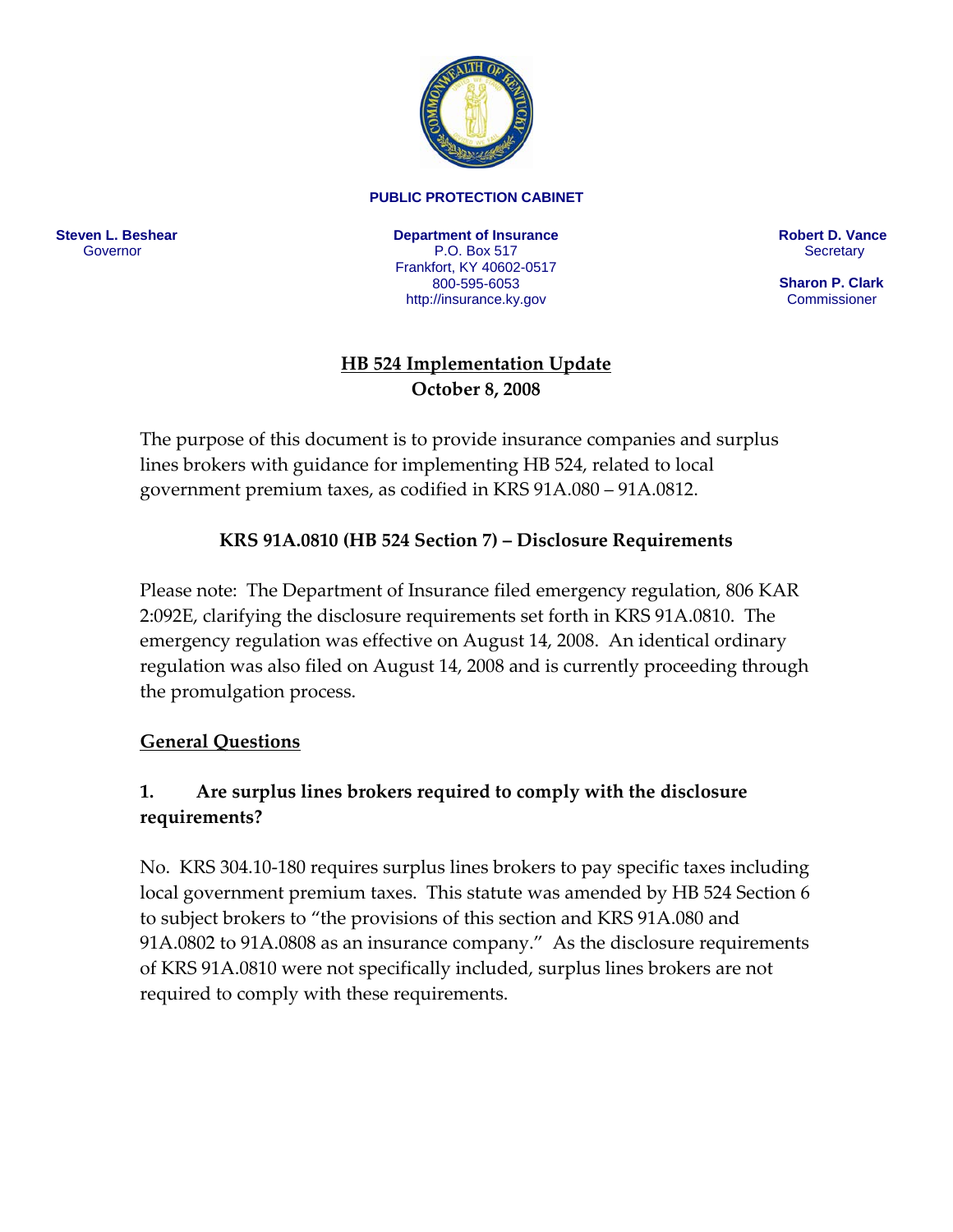

#### **PUBLIC PROTECTION CABINET**

**Steven L. Beshear** Governor

**Department of Insurance**  P.O. Box 517 Frankfort, KY 40602-0517 800-595-6053 <http://insurance.ky.gov>

**Robert D. Vance Secretary** 

 **Sharon P. Clark**  Commissioner

#### **HB 524 Implementation Update October 8, 2008**

The purpose of this document is to provide insurance companies and surplus lines brokers with guidance for implementing HB 524, related to local government premium taxes, as codified in KRS 91A.080 – 91A.0812.

#### **KRS 91A.0810 (HB 524 Section 7) – Disclosure Requirements**

Please note: The Department of Insurance filed emergency regulation, 806 KAR 2:092E, clarifying the disclosure requirements set forth in KRS 91A.0810. The emergency regulation was effective on August 14, 2008. An identical ordinary regulation was also filed on August 14, 2008 and is currently proceeding through the promulgation process.

#### **General Questions**

#### **1. Are surplus lines brokers required to comply with the disclosure requirements?**

No. KRS 304.10‐180 requires surplus lines brokers to pay specific taxes including local government premium taxes. This statute was amended by HB 524 Section 6 to subject brokers to "the provisions of this section and KRS 91A.080 and 91A.0802 to 91A.0808 as an insurance company." As the disclosure requirements of KRS 91A.0810 were not specifically included, surplus lines brokers are not required to comply with these requirements.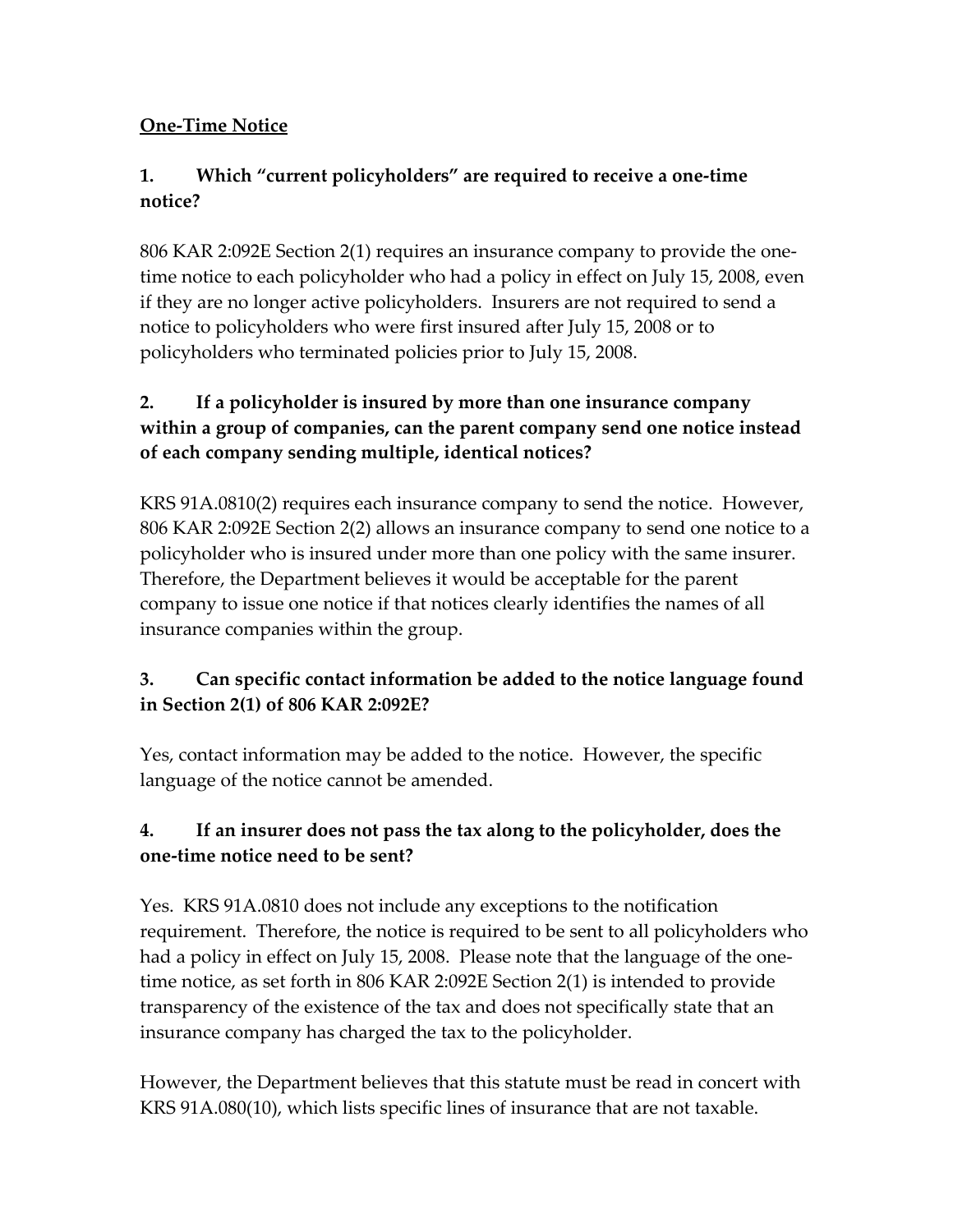# **One‐Time Notice**

# **1. Which "current policyholders" are required to receive a one‐time notice?**

806 KAR 2:092E Section 2(1) requires an insurance company to provide the one‐ time notice to each policyholder who had a policy in effect on July 15, 2008, even if they are no longer active policyholders. Insurers are not required to send a notice to policyholders who were first insured after July 15, 2008 or to policyholders who terminated policies prior to July 15, 2008.

# **2. If a policyholder is insured by more than one insurance company within a group of companies, can the parent company send one notice instead of each company sending multiple, identical notices?**

KRS 91A.0810(2) requires each insurance company to send the notice. However, 806 KAR 2:092E Section 2(2) allows an insurance company to send one notice to a policyholder who is insured under more than one policy with the same insurer. Therefore, the Department believes it would be acceptable for the parent company to issue one notice if that notices clearly identifies the names of all insurance companies within the group.

# **3. Can specific contact information be added to the notice language found in Section 2(1) of 806 KAR 2:092E?**

Yes, contact information may be added to the notice. However, the specific language of the notice cannot be amended.

# **4. If an insurer does not pass the tax along to the policyholder, does the one‐time notice need to be sent?**

Yes. KRS 91A.0810 does not include any exceptions to the notification requirement. Therefore, the notice is required to be sent to all policyholders who had a policy in effect on July 15, 2008. Please note that the language of the one‐ time notice, as set forth in 806 KAR 2:092E Section 2(1) is intended to provide transparency of the existence of the tax and does not specifically state that an insurance company has charged the tax to the policyholder.

However, the Department believes that this statute must be read in concert with KRS 91A.080(10), which lists specific lines of insurance that are not taxable.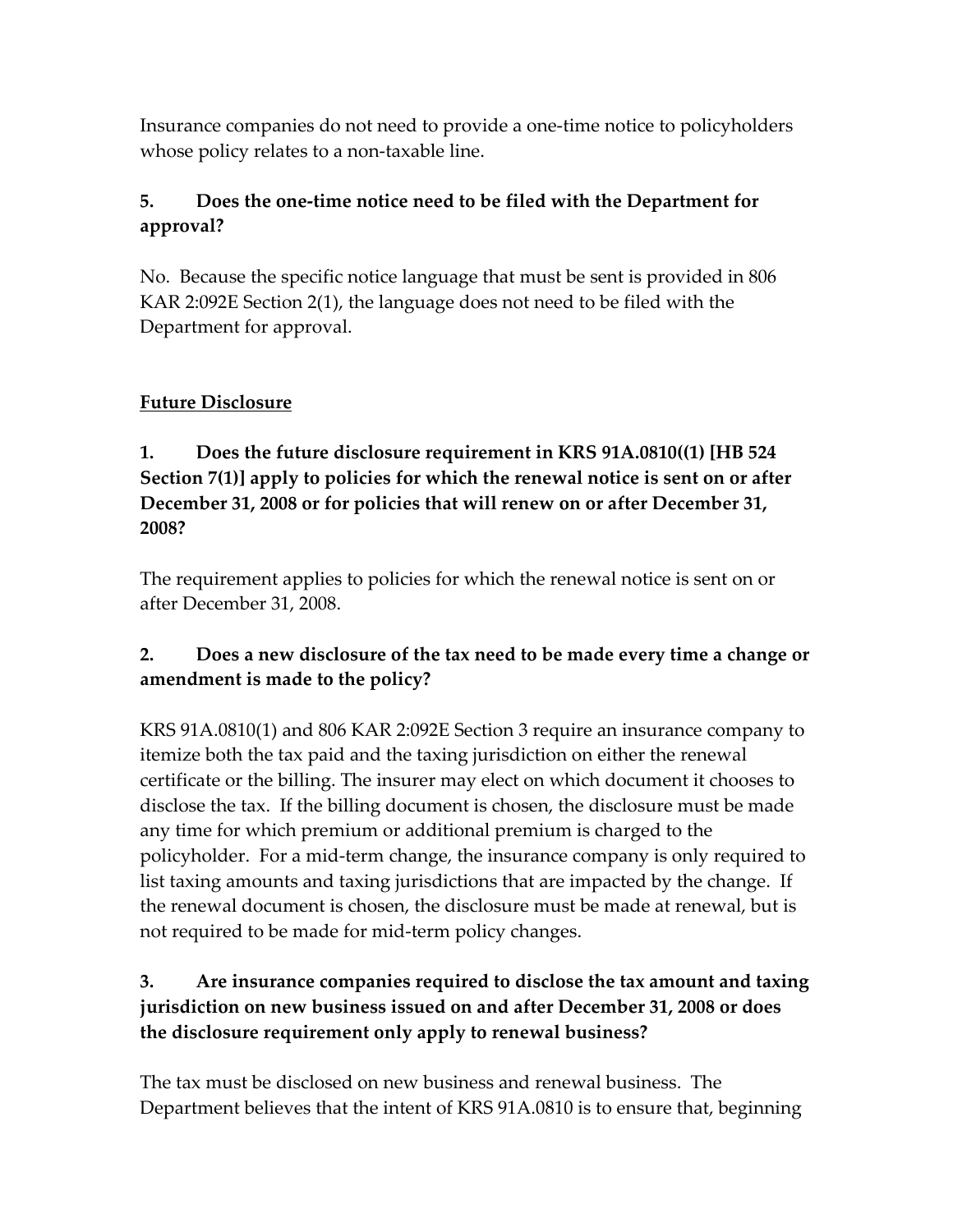Insurance companies do not need to provide a one‐time notice to policyholders whose policy relates to a non-taxable line.

## **5. Does the one‐time notice need to be filed with the Department for approval?**

No. Because the specific notice language that must be sent is provided in 806 KAR 2:092E Section 2(1), the language does not need to be filed with the Department for approval.

## **Future Disclosure**

#### **1. Does the future disclosure requirement in KRS 91A.0810((1) [HB 524 Section 7(1)] apply to policies for which the renewal notice is sent on or after December 31, 2008 or for policies that will renew on or after December 31, 2008?**

The requirement applies to policies for which the renewal notice is sent on or after December 31, 2008.

# **2. Does a new disclosure of the tax need to be made every time a change or amendment is made to the policy?**

KRS 91A.0810(1) and 806 KAR 2:092E Section 3 require an insurance company to itemize both the tax paid and the taxing jurisdiction on either the renewal certificate or the billing. The insurer may elect on which document it chooses to disclose the tax. If the billing document is chosen, the disclosure must be made any time for which premium or additional premium is charged to the policyholder. For a mid‐term change, the insurance company is only required to list taxing amounts and taxing jurisdictions that are impacted by the change. If the renewal document is chosen, the disclosure must be made at renewal, but is not required to be made for mid‐term policy changes.

## **3. Are insurance companies required to disclose the tax amount and taxing jurisdiction on new business issued on and after December 31, 2008 or does the disclosure requirement only apply to renewal business?**

The tax must be disclosed on new business and renewal business. The Department believes that the intent of KRS 91A.0810 is to ensure that, beginning